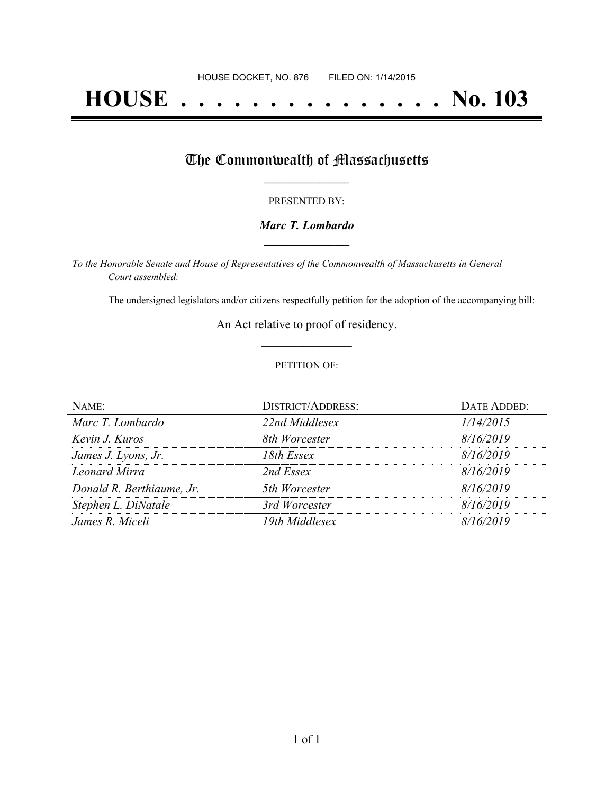# **HOUSE . . . . . . . . . . . . . . . No. 103**

## The Commonwealth of Massachusetts

#### PRESENTED BY:

#### *Marc T. Lombardo* **\_\_\_\_\_\_\_\_\_\_\_\_\_\_\_\_\_**

*To the Honorable Senate and House of Representatives of the Commonwealth of Massachusetts in General Court assembled:*

The undersigned legislators and/or citizens respectfully petition for the adoption of the accompanying bill:

An Act relative to proof of residency. **\_\_\_\_\_\_\_\_\_\_\_\_\_\_\_**

#### PETITION OF:

| NAME:                     | <b>DISTRICT/ADDRESS:</b> | DATE ADDED: |
|---------------------------|--------------------------|-------------|
| Marc T. Lombardo          | 22nd Middlesex           | 1/14/2015   |
| Kevin J. Kuros            | 8th Worcester            | 8/16/2019   |
| James J. Lyons, Jr.       | 18th Essex               | 8/16/2019   |
| Leonard Mirra             | 2nd Essex                | 8/16/2019   |
| Donald R. Berthiaume, Jr. | 5th Worcester            | 8/16/2019   |
| Stephen L. DiNatale       | 3rd Worcester            | 8/16/2019   |
| James R. Miceli           | 19th Middlesex           | 8/16/2019   |